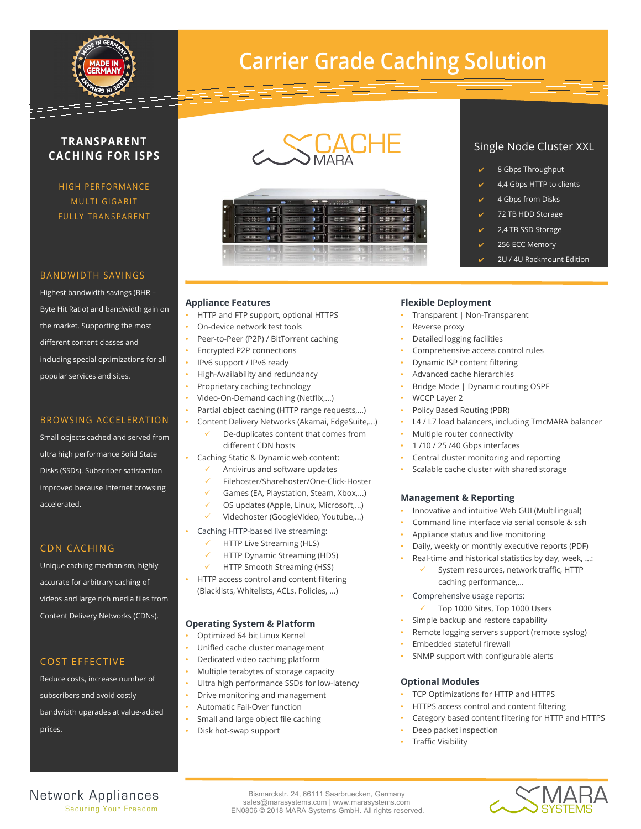

# **Carrier Grade Caching Solution**

# **TRANSPARENT CACHING FOR ISPS**

HIGH PERFORMANCE MULTI GIGABIT FULLY TRANSPARENT

#### BANDWIDTH SAVINGS

Highest bandwidth savings (BHR – Byte Hit Ratio) and bandwidth gain on the market. Supporting the most different content classes and including special optimizations for all popular services and sites.

## **BROWSING ACCELERATION**

Small objects cached and served from ultra high performance Solid State Disks (SSDs). Subscriber satisfaction improved because Internet browsing accelerated

# CDN CACHING

Unique caching mechanism, highly accurate for arbitrary caching of videos and large rich media files from Content Delivery Networks (CDNs).

# COST EFFECTIVE

Reduce costs, increase number of subscribers and avoid costly bandwidth upgrades at value-added prices.

# CACHE



# Single Node Cluster XXL

- 8 Gbps Throughput
- 4,4 Gbps HTTP to clients
- ✔ 4 Gbps from Disks
- 72 TB HDD Storage
- 2,4 TB SSD Storage
- 256 ECC Memory
- ✔ 2U / 4U Rackmount Edition

#### **Appliance Features**

- HTTP and FTP support, optional HTTPS
- On-device network test tools
- Peer-to-Peer (P2P) / BitTorrent caching
- Encrypted P2P connections
- IPv6 support / IPv6 ready
- High-Availability and redundancy
- Proprietary caching technology
- Video-On-Demand caching (Netflix,...)
- Partial object caching (HTTP range requests,...)
- Content Delivery Networks (Akamai, EdgeSuite,...)
	- De-duplicates content that comes from different CDN hosts
- Caching Static & Dynamic web content:
- Antivirus and software updates
- Filehoster/Sharehoster/One-Click-Hoster
- Games (EA, Playstation, Steam, Xbox,...)
- OS updates (Apple, Linux, Microsoft,...)
- Videohoster (GoogleVideo, Youtube,...)
- Caching HTTP-based live streaming:
- HTTP Live Streaming (HLS)
	- HTTP Dynamic Streaming (HDS)
	- HTTP Smooth Streaming (HSS)
- HTTP access control and content filtering (Blacklists, Whitelists, ACLs, Policies, ...)

## **Operating System & Platform**

- Optimized 64 bit Linux Kernel
- Unified cache cluster management
- Dedicated video caching platform
- Multiple terabytes of storage capacity
- Ultra high performance SSDs for low-latency
- Drive monitoring and management
- Automatic Fail-Over function
- Small and large object file caching
	- Disk hot-swap support

# **Flexible Deployment**

- Transparent | Non-Transparent
- Reverse proxy
- Detailed logging facilities
- Comprehensive access control rules
- Dynamic ISP content filtering
- Advanced cache hierarchies
- Bridge Mode | Dynamic routing OSPF
- WCCP Layer 2
- Policy Based Routing (PBR)
- L4 / L7 load balancers, including TmcMARA balancer
- Multiple router connectivity
- 1 /10 / 25 /40 Gbps interfaces
- Central cluster monitoring and reporting
- Scalable cache cluster with shared storage

## **Management & Reporting**

- Innovative and intuitive Web GUI (Multilingual)
- Command line interface via serial console & ssh
- Appliance status and live monitoring
- Daily, weekly or monthly executive reports (PDF)
	- Real-time and historical statistics by day, week, ...:
		- System resources, network traffic, HTTP caching performance,...
	- Comprehensive usage reports:
		- Top 1000 Sites, Top 1000 Users
- Simple backup and restore capability
- Remote logging servers support (remote syslog)
- Embedded stateful firewall
- SNMP support with configurable alerts

#### **Optional Modules**

- TCP Optimizations for HTTP and HTTPS
- HTTPS access control and content filtering
- Category based content filtering for HTTP and HTTPS
- Deep packet inspection
- Traffic Visibility



Bismarckstr. 24, 66111 Saarbruecken, Germany sales@marasystems.com | www.marasystems.com EN0806 © 2018 MARA Systems GmbH. All rights reserved.